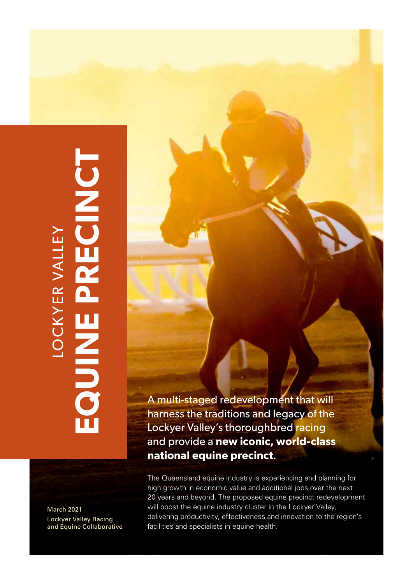# March 2021<br>**EQUINE PRECINCT**<br>And Equine Collaborative **UDED** LOCKYER VALLEY **NOON**

March 2021 Lockyer Valley Racing and Equine Collaborative A multi-staged redevelopment that will harness the traditions and legacy of the Lockyer Valley's thoroughbred racing and provide a **new iconic, world-class national equine precinct**.

The Queensland equine industry is experiencing and planning for high growth in economic value and additional jobs over the next 20 years and beyond. The proposed equine precinct redevelopment will boost the equine industry cluster in the Lockyer Valley, delivering productivity, effectiveness and innovation to the region's facilities and specialists in equine health.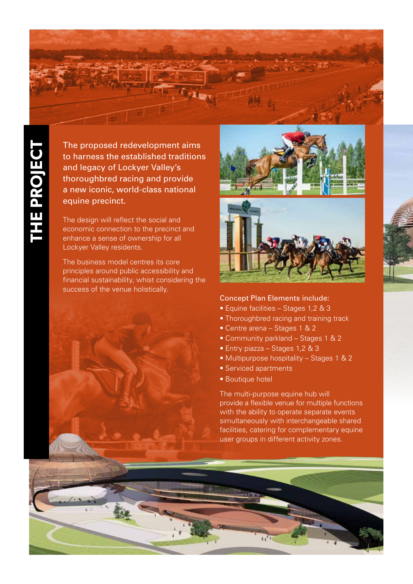

**THE PROJECT** THE PROJECT The proposed redevelopment aims to harness the established traditions and legacy of Lockyer Valley's thoroughbred racing and provide a new iconic, world-class national equine precinct.

The design will reflect the social and economic connection to the precinct and enhance a sense of ownership for all Lockyer Valley residents.

The business model centres its core principles around public accessibility and financial sustainability, whist considering the success of the venue holistically.





### Concept Plan Elements include:

- Equine facilities Stages 1,2 & 3
- Thoroughbred racing and training track
- Centre arena Stages 1 & 2
- Community parkland Stages 1 & 2
- Entry piazza Stages 1,2 & 3
- Multipurpose hospitality Stages 1 & 2
- Serviced apartments
- Boutique hotel

The multi-purpose equine hub will provide a flexible venue for multiple functions with the ability to operate separate events simultaneously with interchangeable shared facilities, catering for complementary equine user groups in different activity zones.

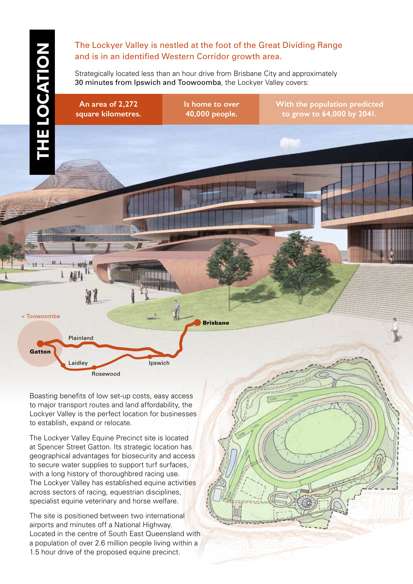# **THE LOCATION THE LOCATION**

**Gatton** 

< Toowoomba

Laidley

Plainland

# The Lockyer Valley is nestled at the foot of the Great Dividing Range and is in an identified Western Corridor growth area.

Strategically located less than an hour drive from Brisbane City and approximately 30 minutes from Ipswich and Toowoomba, the Lockyer Valley covers:

**An area of 2,272 square kilometres.** **Is home to over 40,000 people.**

Brisbane

**With the population predicted to grow to 64,000 by 2041.**

*This diagram also refers to section 10.1 Cost Planning – Core Precincts Concept*

<sup>8</sup> . <sup>8</sup> . <sup>1</sup><sup>P</sup> <sup>r</sup> <sup>o</sup> <sup>p</sup> <sup>o</sup> <sup>s</sup> <sup>e</sup> d C <sup>o</sup> <sup>r</sup> <sup>e</sup><sup>P</sup> <sup>r</sup> <sup>e</sup> <sup>c</sup> <sup>i</sup> <sup>n</sup> <sup>c</sup> t C <sup>o</sup> <sup>n</sup> <sup>c</sup> <sup>e</sup> <sup>p</sup> <sup>t</sup><sup>P</sup> <sup>l</sup> <sup>a</sup> <sup>n</sup> <sup>n</sup> <sup>i</sup> <sup>n</sup> <sup>g</sup><sup>D</sup> <sup>i</sup> <sup>a</sup> <sup>g</sup> <sup>r</sup> <sup>a</sup> <sup>m</sup> Boasting benefits of low set-up costs, easy access to major transport routes and land affordability, the Lockyer Valley is the perfect location for businesses to establish, expand or relocate.

Rosewood

**Ipswich** 

The Lockyer Valley Equine Precinct site is located at Spencer Street Gatton. Its strategic location has geographical advantages for biosecurity and access to secure water supplies to support turf surfaces, with a long history of thoroughbred racing use. The Lockyer Valley has established equine activities across sectors of racing, equestrian disciplines, specialist equine veterinary and horse welfare.

The site is positioned between two international airports and minutes off a National Highway. Located in the centre of South East Queensland with a population of over 2.6 million people living within a 1.5 hour drive of the proposed equine precinct.